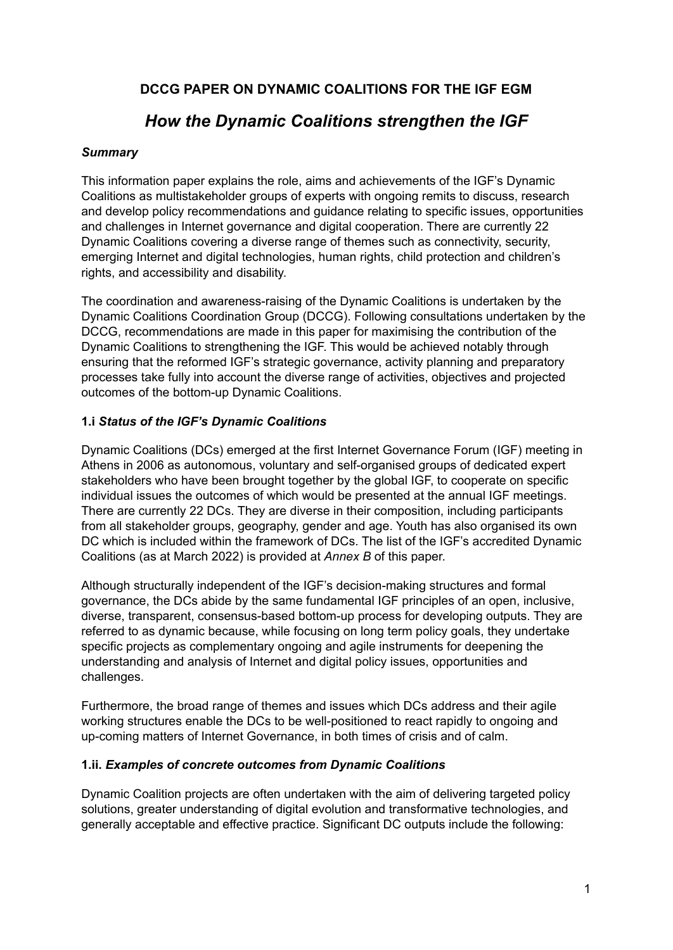## **DCCG PAPER ON DYNAMIC COALITIONS FOR THE IGF EGM**

## *How the Dynamic Coalitions strengthen the IGF*

## *Summary*

This information paper explains the role, aims and achievements of the IGF's Dynamic Coalitions as multistakeholder groups of experts with ongoing remits to discuss, research and develop policy recommendations and guidance relating to specific issues, opportunities and challenges in Internet governance and digital cooperation. There are currently 22 Dynamic Coalitions covering a diverse range of themes such as connectivity, security, emerging Internet and digital technologies, human rights, child protection and children's rights, and accessibility and disability.

The coordination and awareness-raising of the Dynamic Coalitions is undertaken by the Dynamic Coalitions Coordination Group (DCCG). Following consultations undertaken by the DCCG, recommendations are made in this paper for maximising the contribution of the Dynamic Coalitions to strengthening the IGF. This would be achieved notably through ensuring that the reformed IGF's strategic governance, activity planning and preparatory processes take fully into account the diverse range of activities, objectives and projected outcomes of the bottom-up Dynamic Coalitions.

#### **1.i** *Status of the IGF's Dynamic Coalitions*

Dynamic Coalitions (DCs) emerged at the first Internet Governance Forum (IGF) meeting in Athens in 2006 as autonomous, voluntary and self-organised groups of dedicated expert stakeholders who have been brought together by the global IGF, to cooperate on specific individual issues the outcomes of which would be presented at the annual IGF meetings. There are currently 22 DCs. They are diverse in their composition, including participants from all stakeholder groups, geography, gender and age. Youth has also organised its own DC which is included within the framework of DCs. The list of the IGF's accredited Dynamic Coalitions (as at March 2022) is provided at *Annex B* of this paper.

Although structurally independent of the IGF's decision-making structures and formal governance, the DCs abide by the same fundamental IGF principles of an open, inclusive, diverse, transparent, consensus-based bottom-up process for developing outputs. They are referred to as dynamic because, while focusing on long term policy goals, they undertake specific projects as complementary ongoing and agile instruments for deepening the understanding and analysis of Internet and digital policy issues, opportunities and challenges.

Furthermore, the broad range of themes and issues which DCs address and their agile working structures enable the DCs to be well-positioned to react rapidly to ongoing and up-coming matters of Internet Governance, in both times of crisis and of calm.

## **1.ii.** *Examples of concrete outcomes from Dynamic Coalitions*

Dynamic Coalition projects are often undertaken with the aim of delivering targeted policy solutions, greater understanding of digital evolution and transformative technologies, and generally acceptable and effective practice. Significant DC outputs include the following: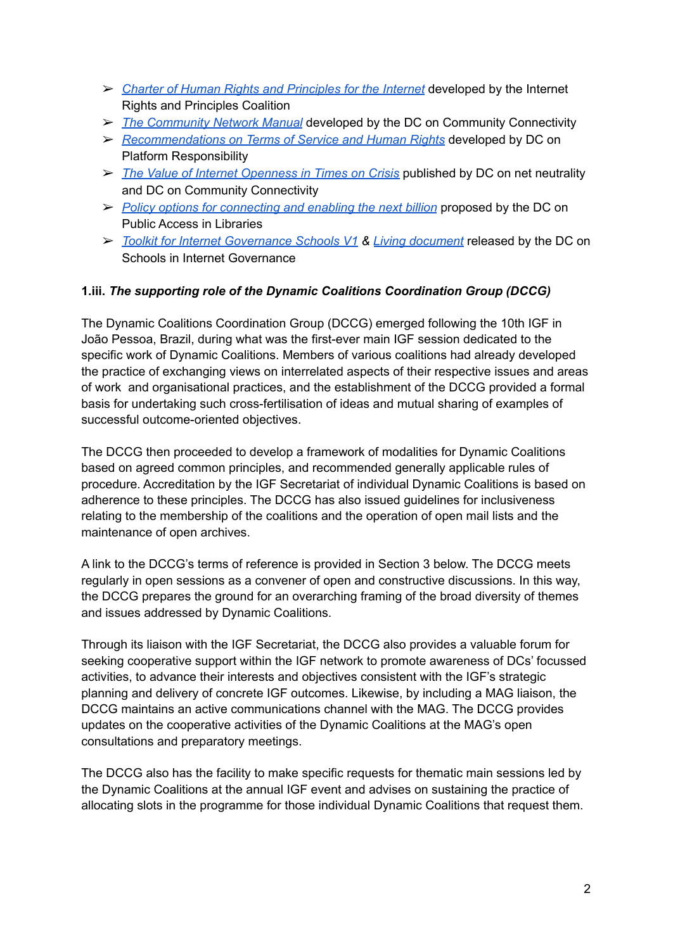- ➢ *Charter of Human Rights and [Principles](https://internetrightsandprinciples.org/charter/) for the Internet* developed by the Internet Rights and Principles Coalition
- ➢ *The [Community](https://www.intgovforum.org/multilingual/filedepot_download/4391/2376) Network Manual* developed by the DC on Community Connectivity
- ➢ *[Recommendations](https://www.intgovforum.org/cms/documents/igf-meeting/igf-2016/830-dcpr-2015-output-document-1/file) on Terms of Service and Human Rights* developed by DC on Platform Responsibility
- ➢ *The Value of Internet [Openness](https://www.intgovforum.org/en/filedepot_download/6114/2375) in Times on Crisis* published by DC on net neutrality and DC on Community Connectivity
- ➢ *Policy options for [connecting](https://www.eifl.net/system/files/resources/201702/cenb_call_for_input_dc-pal1.pdf) and enabling the next billion* proposed by the DC on Public Access in Libraries
- ➢ *Toolkit for Internet [Governance](https://docs.google.com/document/d/17aGZX7k90QdIe0vnRJExYbiC0_cFSOfqnsvjR1g-QiY/edit?usp=sharing) Schools V1 & Living [document](https://docs.google.com/document/d/1EMIiNy1UE2BiuND8eWp6V5-ghZ6ZVmqShodpJQyNOuo/edit?usp=sharing)* released by the DC on Schools in Internet Governance

#### **1.iii.** *The supporting role of the Dynamic Coalitions Coordination Group (DCCG)*

The Dynamic Coalitions Coordination Group (DCCG) emerged following the 10th IGF in João Pessoa, Brazil, during what was the first-ever main IGF session dedicated to the specific work of Dynamic Coalitions. Members of various coalitions had already developed the practice of exchanging views on interrelated aspects of their respective issues and areas of work and organisational practices, and the establishment of the DCCG provided a formal basis for undertaking such cross-fertilisation of ideas and mutual sharing of examples of successful outcome-oriented objectives.

The DCCG then proceeded to develop a framework of modalities for Dynamic Coalitions based on agreed common principles, and recommended generally applicable rules of procedure. Accreditation by the IGF Secretariat of individual Dynamic Coalitions is based on adherence to these principles. The DCCG has also issued guidelines for inclusiveness relating to the membership of the coalitions and the operation of open mail lists and the maintenance of open archives.

A link to the DCCG's terms of reference is provided in Section 3 below. The DCCG meets regularly in open sessions as a convener of open and constructive discussions. In this way, the DCCG prepares the ground for an overarching framing of the broad diversity of themes and issues addressed by Dynamic Coalitions.

Through its liaison with the IGF Secretariat, the DCCG also provides a valuable forum for seeking cooperative support within the IGF network to promote awareness of DCs' focussed activities, to advance their interests and objectives consistent with the IGF's strategic planning and delivery of concrete IGF outcomes. Likewise, by including a MAG liaison, the DCCG maintains an active communications channel with the MAG. The DCCG provides updates on the cooperative activities of the Dynamic Coalitions at the MAG's open consultations and preparatory meetings.

The DCCG also has the facility to make specific requests for thematic main sessions led by the Dynamic Coalitions at the annual IGF event and advises on sustaining the practice of allocating slots in the programme for those individual Dynamic Coalitions that request them.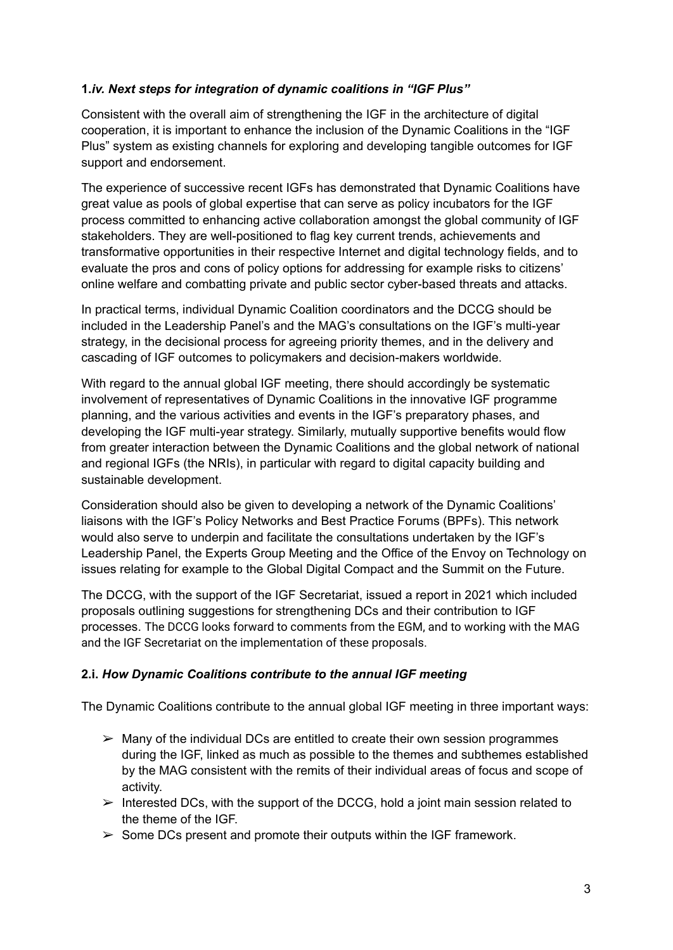## **1.***iv. Next steps for integration of dynamic coalitions in "IGF Plus"*

Consistent with the overall aim of strengthening the IGF in the architecture of digital cooperation, it is important to enhance the inclusion of the Dynamic Coalitions in the "IGF Plus" system as existing channels for exploring and developing tangible outcomes for IGF support and endorsement.

The experience of successive recent IGFs has demonstrated that Dynamic Coalitions have great value as pools of global expertise that can serve as policy incubators for the IGF process committed to enhancing active collaboration amongst the global community of IGF stakeholders. They are well-positioned to flag key current trends, achievements and transformative opportunities in their respective Internet and digital technology fields, and to evaluate the pros and cons of policy options for addressing for example risks to citizens' online welfare and combatting private and public sector cyber-based threats and attacks.

In practical terms, individual Dynamic Coalition coordinators and the DCCG should be included in the Leadership Panel's and the MAG's consultations on the IGF's multi-year strategy, in the decisional process for agreeing priority themes, and in the delivery and cascading of IGF outcomes to policymakers and decision-makers worldwide.

With regard to the annual global IGF meeting, there should accordingly be systematic involvement of representatives of Dynamic Coalitions in the innovative IGF programme planning, and the various activities and events in the IGF's preparatory phases, and developing the IGF multi-year strategy. Similarly, mutually supportive benefits would flow from greater interaction between the Dynamic Coalitions and the global network of national and regional IGFs (the NRIs), in particular with regard to digital capacity building and sustainable development.

Consideration should also be given to developing a network of the Dynamic Coalitions' liaisons with the IGF's Policy Networks and Best Practice Forums (BPFs). This network would also serve to underpin and facilitate the consultations undertaken by the IGF's Leadership Panel, the Experts Group Meeting and the Office of the Envoy on Technology on issues relating for example to the Global Digital Compact and the Summit on the Future.

The DCCG, with the support of the IGF Secretariat, issued a report in 2021 which included proposals outlining suggestions for strengthening DCs and their contribution to IGF processes. The DCCG looks forward to comments from the EGM, and to working with the MAG and the IGF Secretariat on the implementation of these proposals.

## **2.i.** *How Dynamic Coalitions contribute to the annual IGF meeting*

The Dynamic Coalitions contribute to the annual global IGF meeting in three important ways:

- $\triangleright$  Many of the individual DCs are entitled to create their own session programmes during the IGF, linked as much as possible to the themes and subthemes established by the MAG consistent with the remits of their individual areas of focus and scope of activity.
- $\triangleright$  Interested DCs, with the support of the DCCG, hold a joint main session related to the theme of the IGF.
- $\geq$  Some DCs present and promote their outputs within the IGF framework.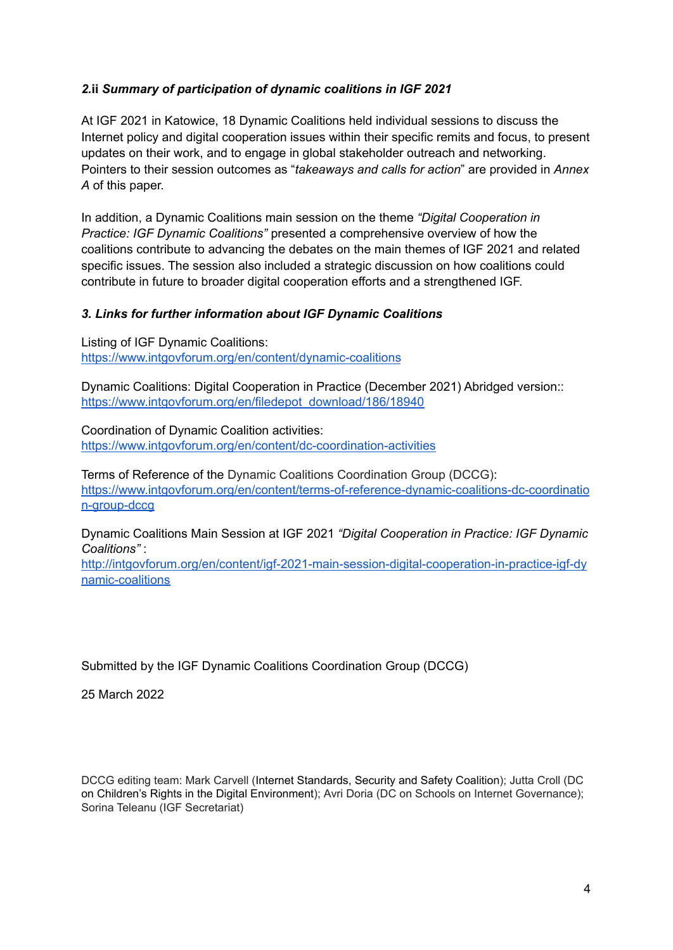#### *2.***ii** *Summary of participation of dynamic coalitions in IGF 2021*

At IGF 2021 in Katowice, 18 Dynamic Coalitions held individual sessions to discuss the Internet policy and digital cooperation issues within their specific remits and focus, to present updates on their work, and to engage in global stakeholder outreach and networking. Pointers to their session outcomes as "*takeaways and calls for action*" are provided in *Annex A* of this paper.

In addition, a Dynamic Coalitions main session on the theme *"Digital Cooperation in Practice: IGF Dynamic Coalitions"* presented a comprehensive overview of how the coalitions contribute to advancing the debates on the main themes of IGF 2021 and related specific issues. The session also included a strategic discussion on how coalitions could contribute in future to broader digital cooperation efforts and a strengthened IGF.

#### *3. Links for further information about IGF Dynamic Coalitions*

Listing of IGF Dynamic Coalitions: <https://www.intgovforum.org/en/content/dynamic-coalitions>

Dynamic Coalitions: Digital Cooperation in Practice (December 2021) Abridged version:: [https://www.intgovforum.org/en/filedepot\\_download/186/18940](https://www.intgovforum.org/en/filedepot_download/186/18940)

Coordination of Dynamic Coalition activities: <https://www.intgovforum.org/en/content/dc-coordination-activities>

Terms of Reference of the Dynamic Coalitions Coordination Group (DCCG): [https://www.intgovforum.org/en/content/terms-of-reference-dynamic-coalitions-dc-coordinatio](https://www.intgovforum.org/en/content/terms-of-reference-dynamic-coalitions-dc-coordination-group-dccg) [n-group-dccg](https://www.intgovforum.org/en/content/terms-of-reference-dynamic-coalitions-dc-coordination-group-dccg)

Dynamic Coalitions Main Session at IGF 2021 *"Digital Cooperation in Practice: IGF Dynamic Coalitions"* :

[http://intgovforum.org/en/content/igf-2021-main-session-digital-cooperation-in-practice-igf-dy](http://intgovforum.org/en/content/igf-2021-main-session-digital-cooperation-in-practice-igf-dynamic-coalitions) [namic-coalitions](http://intgovforum.org/en/content/igf-2021-main-session-digital-cooperation-in-practice-igf-dynamic-coalitions)

## Submitted by the IGF Dynamic Coalitions Coordination Group (DCCG)

25 March 2022

DCCG editing team: Mark Carvell (Internet Standards, Security and Safety Coalition); Jutta Croll (DC on Children's Rights in the Digital Environment); Avri Doria (DC on Schools on Internet Governance); Sorina Teleanu (IGF Secretariat)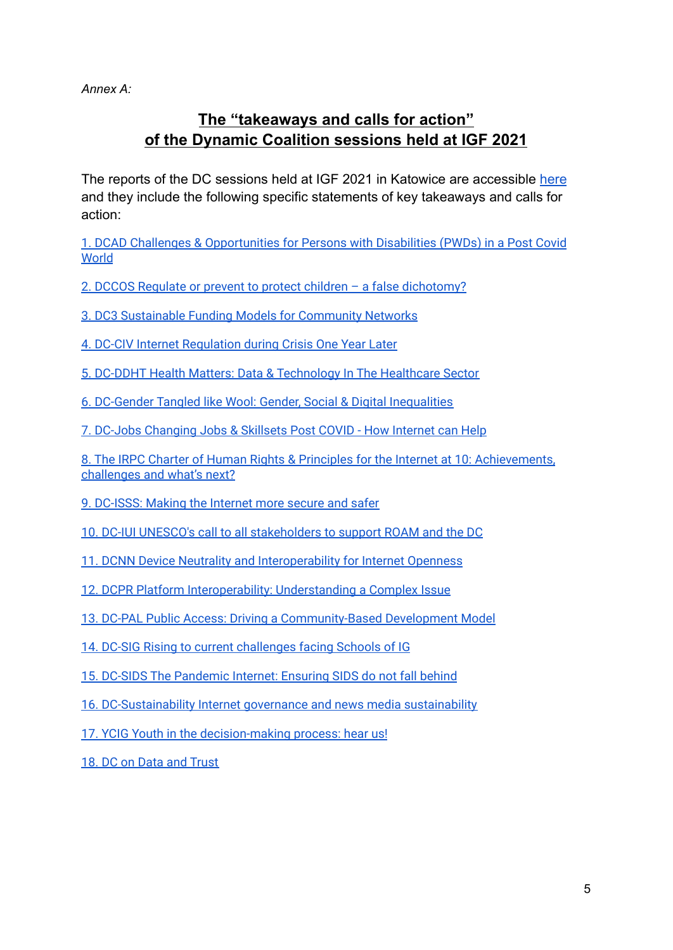*Annex A:*

# **The "takeaways and calls for action" of the Dynamic Coalition sessions held at IGF 2021**

The reports of the DC sessions held at IGF 2021 in Katowice are accessible [here](https://www.intgovforum.org/en/igf-2021-reports?type%5B%5D=dc_session&sort_by=changed_1&sort_order=DESC&feed_me=) and they include the following specific statements of key takeaways and calls for action:

1. DCAD Challenges & [Opportunities](https://docs.google.com/document/d/1rk1mkutmAbQkQUFB0Rkm5PdTAalNybFnI6hEhPxiLHI/edit#heading=h.88xd1cgrizp1) for Persons with Disabilities (PWDs) in a Post Covid **[World](https://docs.google.com/document/d/1rk1mkutmAbQkQUFB0Rkm5PdTAalNybFnI6hEhPxiLHI/edit#heading=h.88xd1cgrizp1)** 

2. DCCOS Regulate or prevent to protect children – a false [dichotomy?](https://docs.google.com/document/d/1rk1mkutmAbQkQUFB0Rkm5PdTAalNybFnI6hEhPxiLHI/edit#heading=h.ro8kn9rrgi12)

3. DC3 [Sustainable](https://docs.google.com/document/d/1rk1mkutmAbQkQUFB0Rkm5PdTAalNybFnI6hEhPxiLHI/edit#heading=h.67nbuknwphh9) Funding Models for Community Networks

4. DC-CIV Internet [Regulation](https://docs.google.com/document/d/1rk1mkutmAbQkQUFB0Rkm5PdTAalNybFnI6hEhPxiLHI/edit#heading=h.ocqq7eb7xvyx) during Crisis One Year Later

5. DC-DDHT Health Matters: Data & [Technology](https://docs.google.com/document/d/1rk1mkutmAbQkQUFB0Rkm5PdTAalNybFnI6hEhPxiLHI/edit#heading=h.az1683h293zs) In The Healthcare Sector

6. DC-Gender Tangled like Wool: Gender, Social & Digital [Inequalities](https://docs.google.com/document/d/1rk1mkutmAbQkQUFB0Rkm5PdTAalNybFnI6hEhPxiLHI/edit#heading=h.xgfhl6o5xzxf)

7. DC-Jobs [Changing](https://docs.google.com/document/d/1rk1mkutmAbQkQUFB0Rkm5PdTAalNybFnI6hEhPxiLHI/edit#heading=h.9sbeqe6ec2uv) Jobs & Skillsets Post COVID - How Internet can Help

8. The IRPC Charter of Human Rights & Principles for the Internet at 10: [Achievements,](https://docs.google.com/document/d/1rk1mkutmAbQkQUFB0Rkm5PdTAalNybFnI6hEhPxiLHI/edit#heading=h.nq6o8jldxu2) [challenges](https://docs.google.com/document/d/1rk1mkutmAbQkQUFB0Rkm5PdTAalNybFnI6hEhPxiLHI/edit#heading=h.nq6o8jldxu2) and what's next?

9. [DC-ISSS:](https://docs.google.com/document/d/1rk1mkutmAbQkQUFB0Rkm5PdTAalNybFnI6hEhPxiLHI/edit#heading=h.l4fta0is5qmd) Making the Internet more secure and safer

10. DC-IUI UNESCO's call to all [stakeholders](https://docs.google.com/document/d/1rk1mkutmAbQkQUFB0Rkm5PdTAalNybFnI6hEhPxiLHI/edit#heading=h.7hvt2vpsmzua) to support ROAM and the DC

11. DCNN Device Neutrality and [Interoperability](https://docs.google.com/document/d/1rk1mkutmAbQkQUFB0Rkm5PdTAalNybFnI6hEhPxiLHI/edit#heading=h.dlmftnd92c4r) for Internet Openness

12. DCPR Platform [Interoperability:](https://docs.google.com/document/d/1rk1mkutmAbQkQUFB0Rkm5PdTAalNybFnI6hEhPxiLHI/edit#heading=h.2f7f25wyfxdn) Understanding a Complex Issue

13. DC-PAL Public Access: Driving a [Community-Based](https://docs.google.com/document/d/1rk1mkutmAbQkQUFB0Rkm5PdTAalNybFnI6hEhPxiLHI/edit#heading=h.c4yfbepoqmew) Development Model

14. DC-SIG Rising to current [challenges](https://docs.google.com/document/d/1rk1mkutmAbQkQUFB0Rkm5PdTAalNybFnI6hEhPxiLHI/edit#heading=h.d4wdjoc3h1vq) facing Schools of IG

15. DC-SIDS The [Pandemic](https://docs.google.com/document/d/1rk1mkutmAbQkQUFB0Rkm5PdTAalNybFnI6hEhPxiLHI/edit#heading=h.otwqjfjmcg9) Internet: Ensuring SIDS do not fall behind

16. [DC-Sustainability](https://docs.google.com/document/d/1rk1mkutmAbQkQUFB0Rkm5PdTAalNybFnI6hEhPxiLHI/edit#heading=h.1e648i8loxkf) Internet governance and news media sustainability

17. YCIG Youth in the [decision-making](https://docs.google.com/document/d/1rk1mkutmAbQkQUFB0Rkm5PdTAalNybFnI6hEhPxiLHI/edit#heading=h.jom3czc0o69o) process: hear us!

18. DC on Data and [Trust](https://docs.google.com/document/d/1rk1mkutmAbQkQUFB0Rkm5PdTAalNybFnI6hEhPxiLHI/edit#heading=h.rfgypx2jvbd3)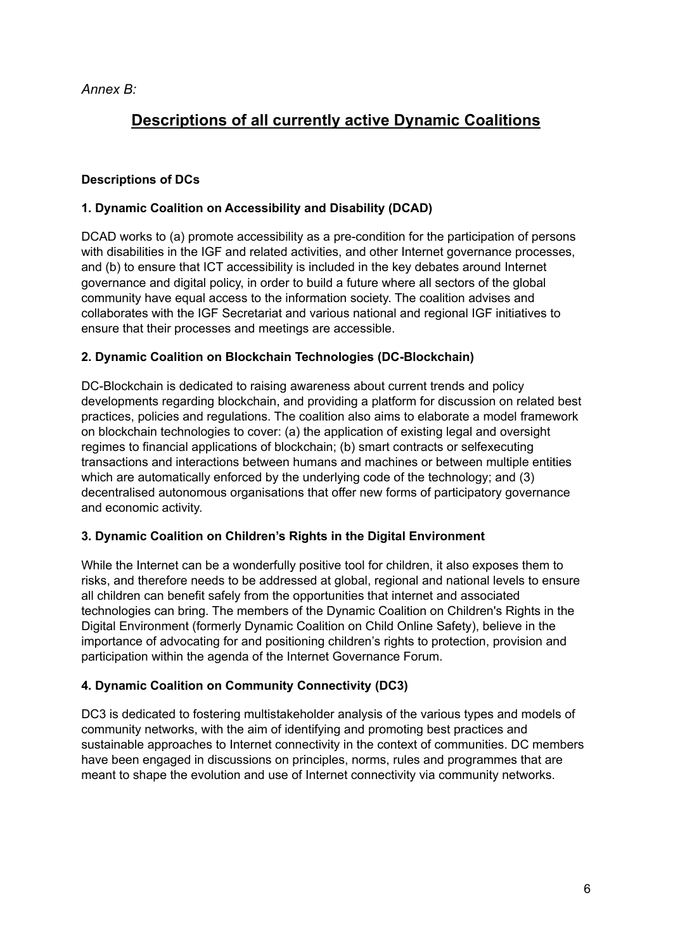*Annex B:*

# **Descriptions of all currently active Dynamic Coalitions**

## **Descriptions of DCs**

## **1. Dynamic Coalition on Accessibility and Disability (DCAD)**

DCAD works to (a) promote accessibility as a pre-condition for the participation of persons with disabilities in the IGF and related activities, and other Internet governance processes, and (b) to ensure that ICT accessibility is included in the key debates around Internet governance and digital policy, in order to build a future where all sectors of the global community have equal access to the information society. The coalition advises and collaborates with the IGF Secretariat and various national and regional IGF initiatives to ensure that their processes and meetings are accessible.

## **2. Dynamic Coalition on Blockchain Technologies (DC-Blockchain)**

DC-Blockchain is dedicated to raising awareness about current trends and policy developments regarding blockchain, and providing a platform for discussion on related best practices, policies and regulations. The coalition also aims to elaborate a model framework on blockchain technologies to cover: (a) the application of existing legal and oversight regimes to financial applications of blockchain; (b) smart contracts or selfexecuting transactions and interactions between humans and machines or between multiple entities which are automatically enforced by the underlying code of the technology; and (3) decentralised autonomous organisations that offer new forms of participatory governance and economic activity.

## **3. Dynamic Coalition on Children's Rights in the Digital Environment**

While the Internet can be a wonderfully positive tool for children, it also exposes them to risks, and therefore needs to be addressed at global, regional and national levels to ensure all children can benefit safely from the opportunities that internet and associated technologies can bring. The members of the Dynamic Coalition on Children's Rights in the Digital Environment (formerly Dynamic Coalition on Child Online Safety), believe in the importance of advocating for and positioning children's rights to protection, provision and participation within the agenda of the Internet Governance Forum.

## **4. Dynamic Coalition on Community Connectivity (DC3)**

DC3 is dedicated to fostering multistakeholder analysis of the various types and models of community networks, with the aim of identifying and promoting best practices and sustainable approaches to Internet connectivity in the context of communities. DC members have been engaged in discussions on principles, norms, rules and programmes that are meant to shape the evolution and use of Internet connectivity via community networks.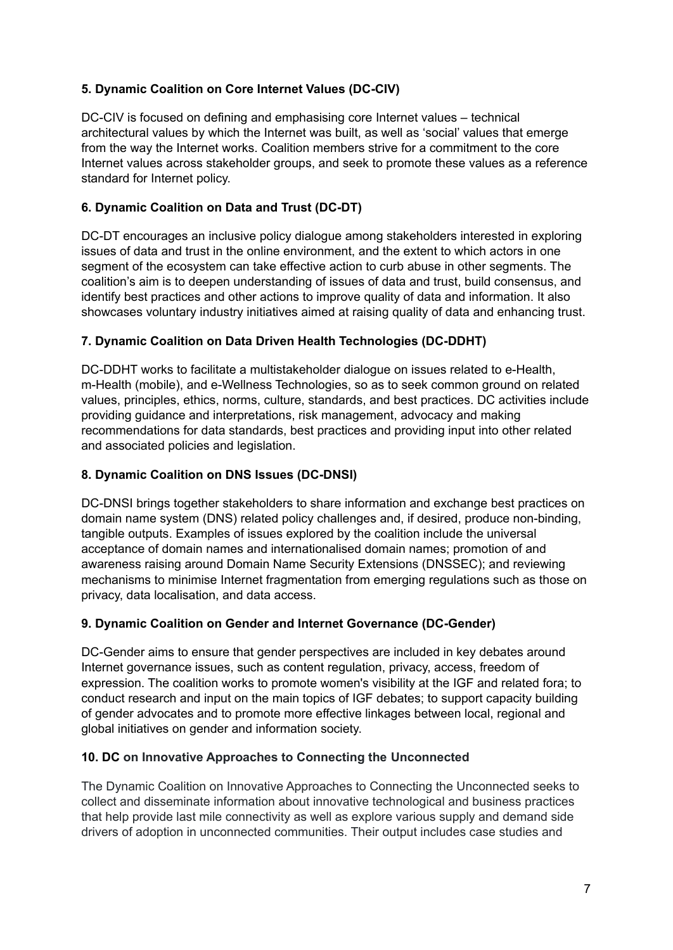## **5. Dynamic Coalition on Core Internet Values (DC-CIV)**

DC-CIV is focused on defining and emphasising core Internet values – technical architectural values by which the Internet was built, as well as 'social' values that emerge from the way the Internet works. Coalition members strive for a commitment to the core Internet values across stakeholder groups, and seek to promote these values as a reference standard for Internet policy.

## **6. Dynamic Coalition on Data and Trust (DC-DT)**

DC-DT encourages an inclusive policy dialogue among stakeholders interested in exploring issues of data and trust in the online environment, and the extent to which actors in one segment of the ecosystem can take effective action to curb abuse in other segments. The coalition's aim is to deepen understanding of issues of data and trust, build consensus, and identify best practices and other actions to improve quality of data and information. It also showcases voluntary industry initiatives aimed at raising quality of data and enhancing trust.

## **7. Dynamic Coalition on Data Driven Health Technologies (DC-DDHT)**

DC-DDHT works to facilitate a multistakeholder dialogue on issues related to e-Health, m-Health (mobile), and e-Wellness Technologies, so as to seek common ground on related values, principles, ethics, norms, culture, standards, and best practices. DC activities include providing guidance and interpretations, risk management, advocacy and making recommendations for data standards, best practices and providing input into other related and associated policies and legislation.

## **8. Dynamic Coalition on DNS Issues (DC-DNSI)**

DC-DNSI brings together stakeholders to share information and exchange best practices on domain name system (DNS) related policy challenges and, if desired, produce non-binding, tangible outputs. Examples of issues explored by the coalition include the universal acceptance of domain names and internationalised domain names; promotion of and awareness raising around Domain Name Security Extensions (DNSSEC); and reviewing mechanisms to minimise Internet fragmentation from emerging regulations such as those on privacy, data localisation, and data access.

## **9. Dynamic Coalition on Gender and Internet Governance (DC-Gender)**

DC-Gender aims to ensure that gender perspectives are included in key debates around Internet governance issues, such as content regulation, privacy, access, freedom of expression. The coalition works to promote women's visibility at the IGF and related fora; to conduct research and input on the main topics of IGF debates; to support capacity building of gender advocates and to promote more effective linkages between local, regional and global initiatives on gender and information society.

## **10. DC on Innovative Approaches to Connecting the Unconnected**

The Dynamic Coalition on Innovative Approaches to Connecting the Unconnected seeks to collect and disseminate information about innovative technological and business practices that help provide last mile connectivity as well as explore various supply and demand side drivers of adoption in unconnected communities. Their output includes case studies and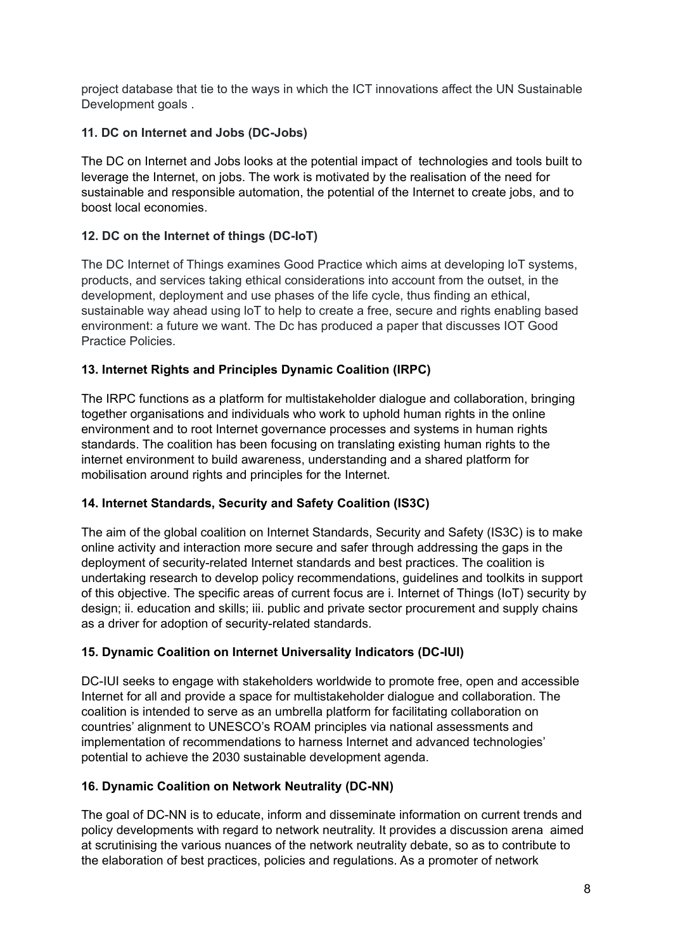project database that tie to the ways in which the ICT innovations affect the UN Sustainable Development goals .

## **11. DC on Internet and Jobs (DC-Jobs)**

The DC on Internet and Jobs looks at the potential impact of technologies and tools built to leverage the Internet, on jobs. The work is motivated by the realisation of the need for sustainable and responsible automation, the potential of the Internet to create jobs, and to boost local economies.

## **12. DC on the Internet of things (DC-IoT)**

The DC Internet of Things examines Good Practice which aims at developing loT systems, products, and services taking ethical considerations into account from the outset, in the development, deployment and use phases of the life cycle, thus finding an ethical, sustainable way ahead using loT to help to create a free, secure and rights enabling based environment: a future we want. The Dc has produced a paper that discusses IOT Good Practice Policies.

## **13. Internet Rights and Principles Dynamic Coalition (IRPC)**

The IRPC functions as a platform for multistakeholder dialogue and collaboration, bringing together organisations and individuals who work to uphold human rights in the online environment and to root Internet governance processes and systems in human rights standards. The coalition has been focusing on translating existing human rights to the internet environment to build awareness, understanding and a shared platform for mobilisation around rights and principles for the Internet.

## **14. Internet Standards, Security and Safety Coalition (IS3C)**

The aim of the global coalition on Internet Standards, Security and Safety (IS3C) is to make online activity and interaction more secure and safer through addressing the gaps in the deployment of security-related Internet standards and best practices. The coalition is undertaking research to develop policy recommendations, guidelines and toolkits in support of this objective. The specific areas of current focus are i. Internet of Things (IoT) security by design; ii. education and skills; iii. public and private sector procurement and supply chains as a driver for adoption of security-related standards.

## **15. Dynamic Coalition on Internet Universality Indicators (DC-IUI)**

DC-IUI seeks to engage with stakeholders worldwide to promote free, open and accessible Internet for all and provide a space for multistakeholder dialogue and collaboration. The coalition is intended to serve as an umbrella platform for facilitating collaboration on countries' alignment to UNESCO's ROAM principles via national assessments and implementation of recommendations to harness Internet and advanced technologies' potential to achieve the 2030 sustainable development agenda.

## **16. Dynamic Coalition on Network Neutrality (DC-NN)**

The goal of DC-NN is to educate, inform and disseminate information on current trends and policy developments with regard to network neutrality. It provides a discussion arena aimed at scrutinising the various nuances of the network neutrality debate, so as to contribute to the elaboration of best practices, policies and regulations. As a promoter of network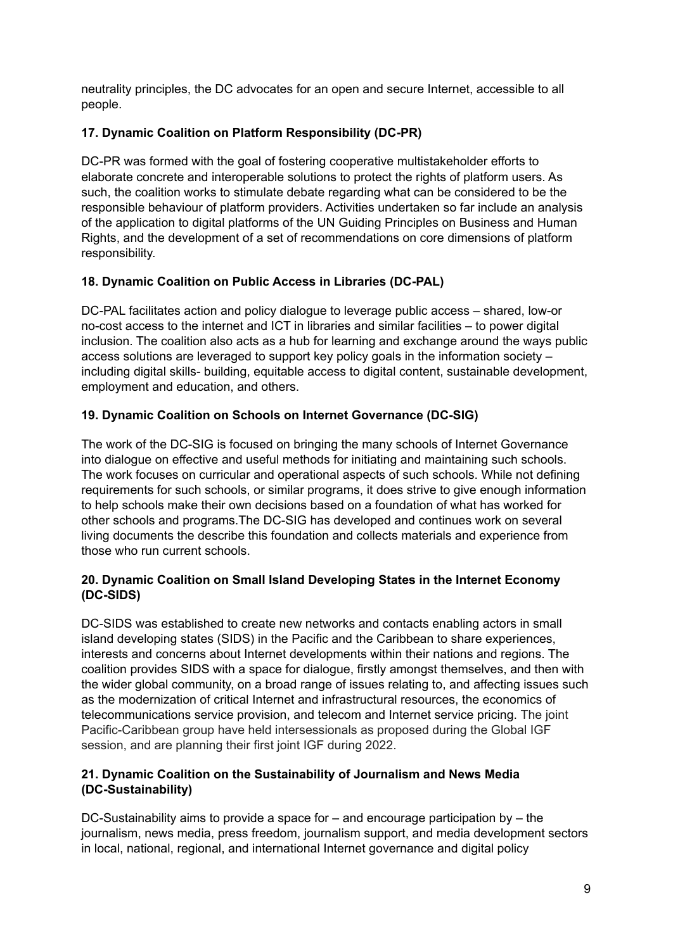neutrality principles, the DC advocates for an open and secure Internet, accessible to all people.

## **17. Dynamic Coalition on Platform Responsibility (DC-PR)**

DC-PR was formed with the goal of fostering cooperative multistakeholder efforts to elaborate concrete and interoperable solutions to protect the rights of platform users. As such, the coalition works to stimulate debate regarding what can be considered to be the responsible behaviour of platform providers. Activities undertaken so far include an analysis of the application to digital platforms of the UN Guiding Principles on Business and Human Rights, and the development of a set of recommendations on core dimensions of platform responsibility.

## **18. Dynamic Coalition on Public Access in Libraries (DC-PAL)**

DC-PAL facilitates action and policy dialogue to leverage public access – shared, low-or no-cost access to the internet and ICT in libraries and similar facilities – to power digital inclusion. The coalition also acts as a hub for learning and exchange around the ways public access solutions are leveraged to support key policy goals in the information society – including digital skills- building, equitable access to digital content, sustainable development, employment and education, and others.

## **19. Dynamic Coalition on Schools on Internet Governance (DC-SIG)**

The work of the DC-SIG is focused on bringing the many schools of Internet Governance into dialogue on effective and useful methods for initiating and maintaining such schools. The work focuses on curricular and operational aspects of such schools. While not defining requirements for such schools, or similar programs, it does strive to give enough information to help schools make their own decisions based on a foundation of what has worked for other schools and programs.The DC-SIG has developed and continues work on several living documents the describe this foundation and collects materials and experience from those who run current schools.

#### **20. Dynamic Coalition on Small Island Developing States in the Internet Economy (DC-SIDS)**

DC-SIDS was established to create new networks and contacts enabling actors in small island developing states (SIDS) in the Pacific and the Caribbean to share experiences, interests and concerns about Internet developments within their nations and regions. The coalition provides SIDS with a space for dialogue, firstly amongst themselves, and then with the wider global community, on a broad range of issues relating to, and affecting issues such as the modernization of critical Internet and infrastructural resources, the economics of telecommunications service provision, and telecom and Internet service pricing. The joint Pacific-Caribbean group have held intersessionals as proposed during the Global IGF session, and are planning their first joint IGF during 2022.

## **21. Dynamic Coalition on the Sustainability of Journalism and News Media (DC-Sustainability)**

DC-Sustainability aims to provide a space for – and encourage participation by – the journalism, news media, press freedom, journalism support, and media development sectors in local, national, regional, and international Internet governance and digital policy